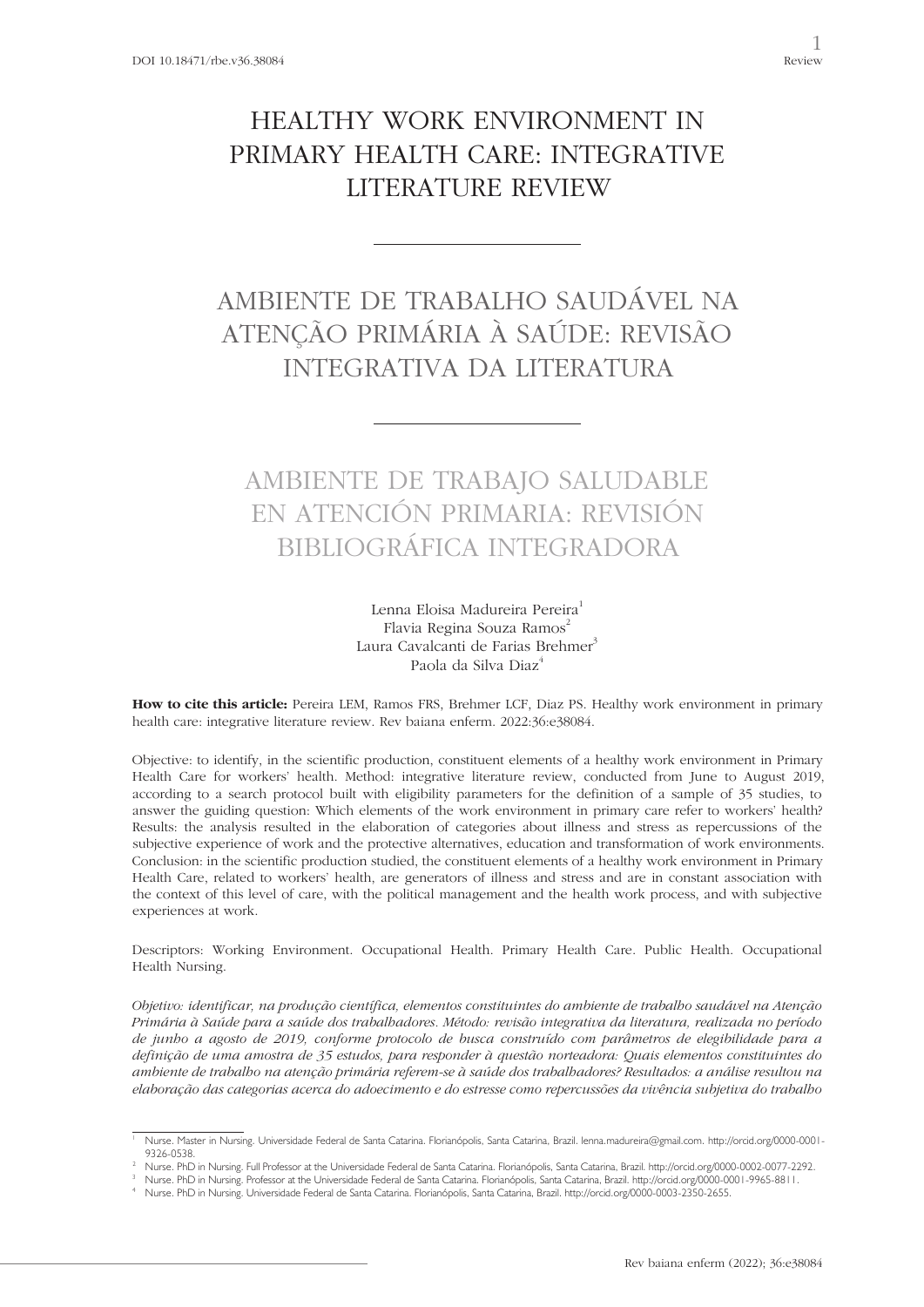# HEALTHY WORK ENVIRONMENT IN PRIMARY HEALTH CARE: INTEGRATIVE LITERATURE REVIEW

# AMBIENTE DE TRABALHO SAUDÁVEL NA ATENÇÃO PRIMÁRIA À SAÚDE: REVISÃO INTEGRATIVA DA LITERATURA

## AMBIENTE DE TRABAJO SALUDABLE EN ATENCIÓN PRIMARIA: REVISIÓN BIBLIOGRÁFICA INTEGRADORA

Lenna Eloisa Madureira Pereira<sup>1</sup> Flavia Regina Souza Ramos<sup>2</sup> Laura Cavalcanti de Farias Brehmer<sup>3</sup> Paola da Silva Diaz<sup>4</sup>

**How to cite this article:** Pereira LEM, Ramos FRS, Brehmer LCF, Diaz PS. Healthy work environment in primary health care: integrative literature review. Rev baiana enferm. 2022:36:e38084.

Objective: to identify, in the scientific production, constituent elements of a healthy work environment in Primary Health Care for workers' health. Method: integrative literature review, conducted from June to August 2019, according to a search protocol built with eligibility parameters for the definition of a sample of 35 studies, to answer the guiding question: Which elements of the work environment in primary care refer to workers' health? Results: the analysis resulted in the elaboration of categories about illness and stress as repercussions of the subjective experience of work and the protective alternatives, education and transformation of work environments. Conclusion: in the scientific production studied, the constituent elements of a healthy work environment in Primary Health Care, related to workers' health, are generators of illness and stress and are in constant association with the context of this level of care, with the political management and the health work process, and with subjective experiences at work.

Descriptors: Working Environment. Occupational Health. Primary Health Care. Public Health. Occupational Health Nursing.

*Objetivo: identificar, na produção científica, elementos constituintes do ambiente de trabalho saudável na Atenção Primária à Saúde para a saúde dos trabalhadores. Método: revisão integrativa da literatura, realizada no período de junho a agosto de 2019, conforme protocolo de busca construído com parâmetros de elegibilidade para a definição de uma amostra de 35 estudos, para responder à questão norteadora: Quais elementos constituintes do ambiente de trabalho na atenção primária referem-se à saúde dos trabalhadores? Resultados: a análise resultou na elaboração das categorias acerca do adoecimento e do estresse como repercussões da vivência subjetiva do trabalho* 

<sup>1</sup> Nurse. Master in Nursing. Universidade Federal de Santa Catarina. Florianópolis, Santa Catarina, Brazil. lenna.madureira@gmail.com. http://orcid.org/0000-0001- 9326-0538.

<sup>2</sup> Nurse. PhD in Nursing. Full Professor at the Universidade Federal de Santa Catarina. Florianópolis, Santa Catarina, Brazil. http://orcid.org/0000-0002-0077-2292.

<sup>3</sup> Nurse. PhD in Nursing. Professor at the Universidade Federal de Santa Catarina. Florianópolis, Santa Catarina, Brazil. http://orcid.org/0000-0001-9965-8811.

Nurse. PhD in Nursing. Universidade Federal de Santa Catarina. Florianópolis, Santa Catarina, Brazil. http://orcid.org/0000-0003-2350-2655.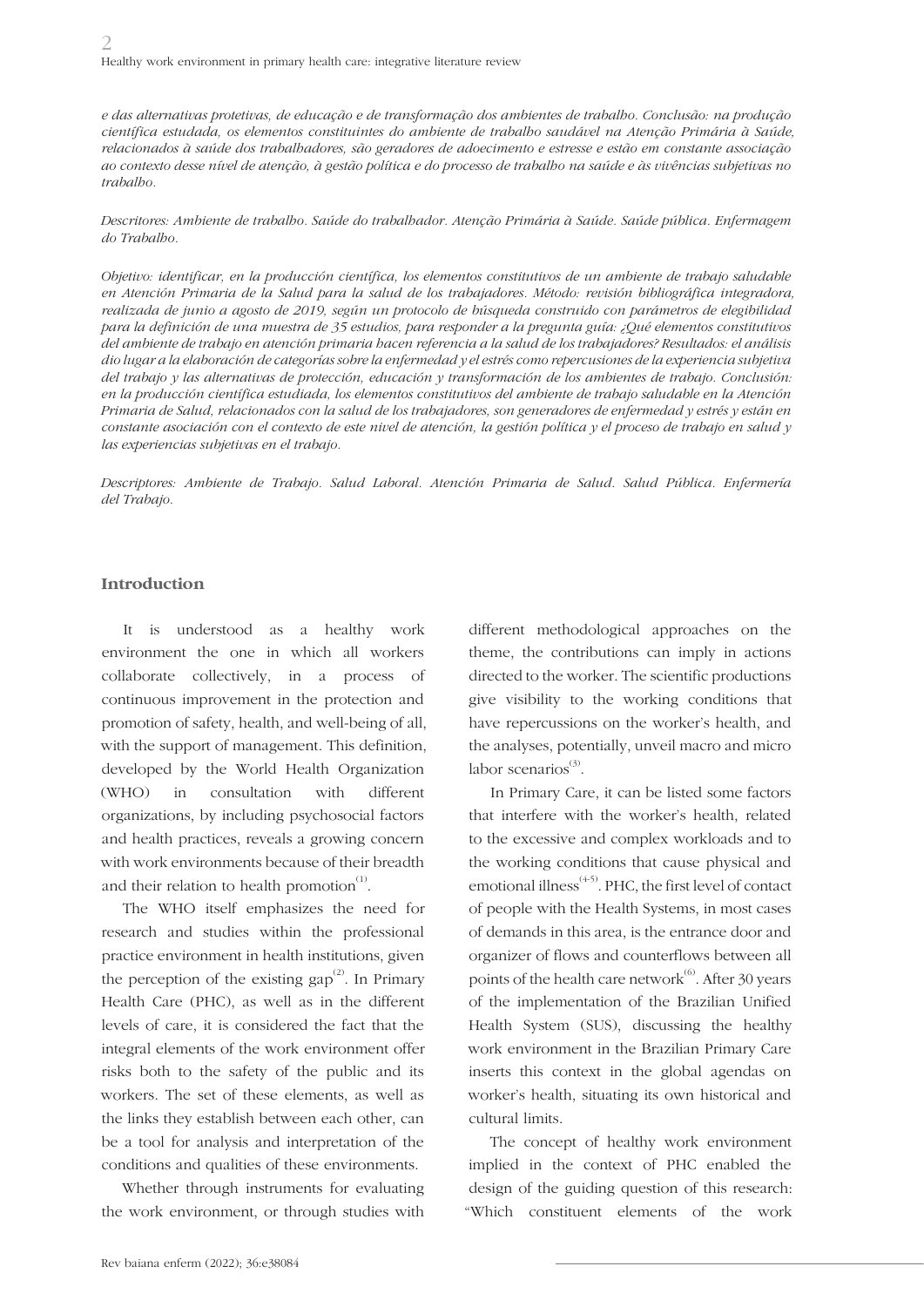2 Healthy work environment in primary health care: integrative literature review

*e das alternativas protetivas, de educação e de transformação dos ambientes de trabalho. Conclusão: na produção científica estudada, os elementos constituintes do ambiente de trabalho saudável na Atenção Primária à Saúde, relacionados à saúde dos trabalhadores, são geradores de adoecimento e estresse e estão em constante associação ao contexto desse nível de atenção, à gestão política e do processo de trabalho na saúde e às vivências subjetivas no trabalho.* 

*Descritores: Ambiente de trabalho. Saúde do trabalhador. Atenção Primária à Saúde. Saúde pública. Enfermagem do Trabalho.*

*Objetivo: identificar, en la producción científica, los elementos constitutivos de un ambiente de trabajo saludable en Atención Primaria de la Salud para la salud de los trabajadores. Método: revisión bibliográfica integradora, realizada de junio a agosto de 2019, según un protocolo de búsqueda construido con parámetros de elegibilidad para la definición de una muestra de 35 estudios, para responder a la pregunta guía: ¿Qué elementos constitutivos del ambiente de trabajo en atención primaria hacen referencia a la salud de los trabajadores? Resultados: el análisis dio lugar a la elaboración de categorías sobre la enfermedad y el estrés como repercusiones de la experiencia subjetiva del trabajo y las alternativas de protección, educación y transformación de los ambientes de trabajo. Conclusión: en la producción científica estudiada, los elementos constitutivos del ambiente de trabajo saludable en la Atención Primaria de Salud, relacionados con la salud de los trabajadores, son generadores de enfermedad y estrés y están en constante asociación con el contexto de este nivel de atención, la gestión política y el proceso de trabajo en salud y las experiencias subjetivas en el trabajo.*

*Descriptores: Ambiente de Trabajo. Salud Laboral. Atención Primaria de Salud. Salud Pública. Enfermería del Trabajo.*

#### **Introduction**

It is understood as a healthy work environment the one in which all workers collaborate collectively, in a process of continuous improvement in the protection and promotion of safety, health, and well-being of all, with the support of management. This definition, developed by the World Health Organization (WHO) in consultation with different organizations, by including psychosocial factors and health practices, reveals a growing concern with work environments because of their breadth and their relation to health promotion $<sup>(1)</sup>$ .</sup>

The WHO itself emphasizes the need for research and studies within the professional practice environment in health institutions, given the perception of the existing gap<sup> $(2)$ </sup>. In Primary Health Care (PHC), as well as in the different levels of care, it is considered the fact that the integral elements of the work environment offer risks both to the safety of the public and its workers. The set of these elements, as well as the links they establish between each other, can be a tool for analysis and interpretation of the conditions and qualities of these environments.

Whether through instruments for evaluating the work environment, or through studies with

different methodological approaches on the theme, the contributions can imply in actions directed to the worker. The scientific productions give visibility to the working conditions that have repercussions on the worker's health, and the analyses, potentially, unveil macro and micro labor scenarios $^{(3)}$ .

In Primary Care, it can be listed some factors that interfere with the worker's health, related to the excessive and complex workloads and to the working conditions that cause physical and emotional illness<sup>(4-5)</sup>. PHC, the first level of contact of people with the Health Systems, in most cases of demands in this area, is the entrance door and organizer of flows and counterflows between all points of the health care network $^{(6)}$ . After 30 years of the implementation of the Brazilian Unified Health System (SUS), discussing the healthy work environment in the Brazilian Primary Care inserts this context in the global agendas on worker's health, situating its own historical and cultural limits.

The concept of healthy work environment implied in the context of PHC enabled the design of the guiding question of this research: "Which constituent elements of the work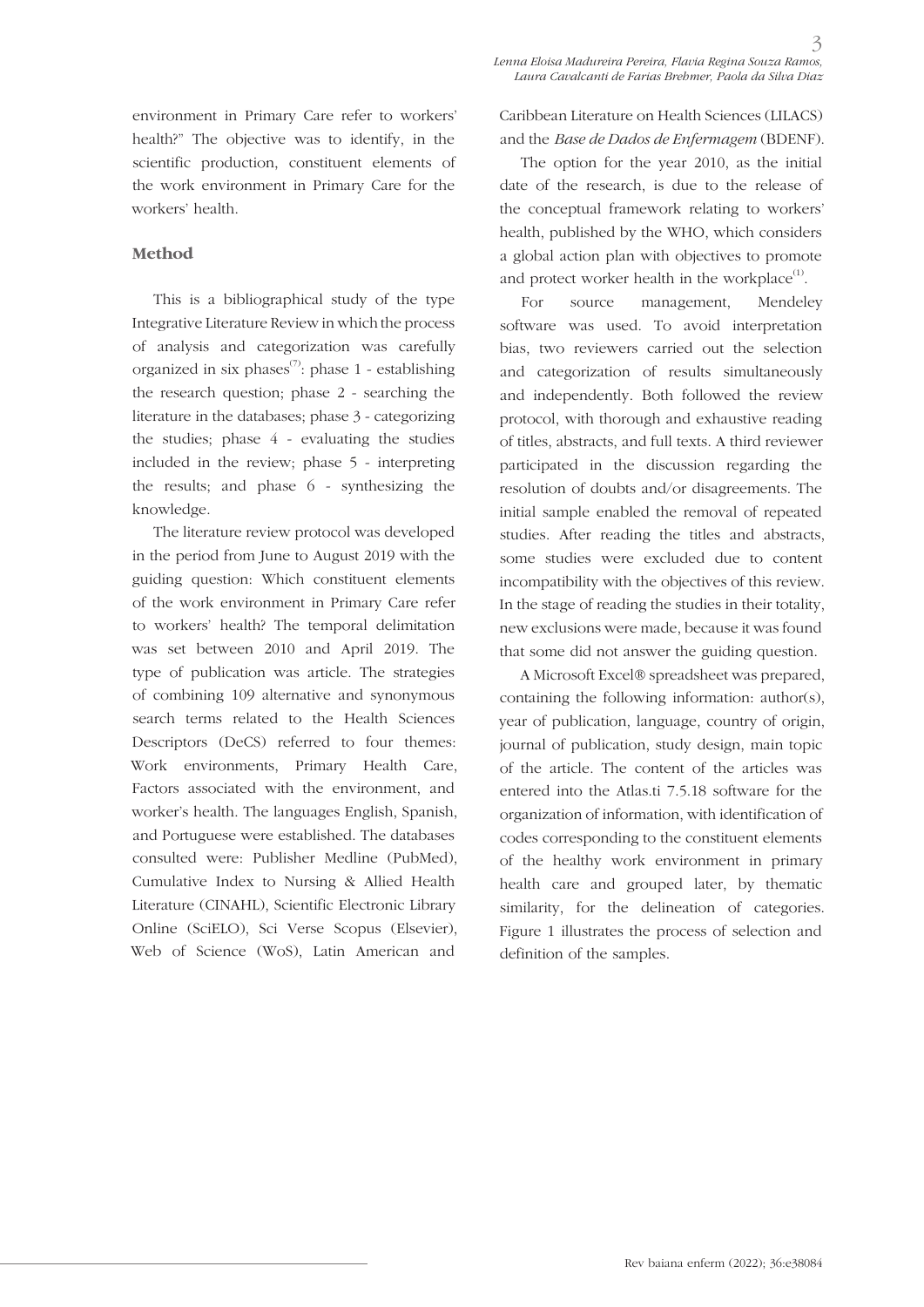environment in Primary Care refer to workers' health?" The objective was to identify, in the scientific production, constituent elements of the work environment in Primary Care for the workers' health.

#### **Method**

This is a bibliographical study of the type Integrative Literature Review in which the process of analysis and categorization was carefully organized in six phases $\sigma$ : phase 1 - establishing the research question; phase 2 - searching the literature in the databases; phase 3 - categorizing the studies; phase  $4$  - evaluating the studies included in the review; phase 5 - interpreting the results; and phase 6 - synthesizing the knowledge.

The literature review protocol was developed in the period from June to August 2019 with the guiding question: Which constituent elements of the work environment in Primary Care refer to workers' health? The temporal delimitation was set between 2010 and April 2019. The type of publication was article. The strategies of combining 109 alternative and synonymous search terms related to the Health Sciences Descriptors (DeCS) referred to four themes: Work environments, Primary Health Care, Factors associated with the environment, and worker's health. The languages English, Spanish, and Portuguese were established. The databases consulted were: Publisher Medline (PubMed), Cumulative Index to Nursing & Allied Health Literature (CINAHL), Scientific Electronic Library Online (SciELO), Sci Verse Scopus (Elsevier), Web of Science (WoS), Latin American and

Caribbean Literature on Health Sciences (LILACS) and the *Base de Dados de Enfermagem* (BDENF).

The option for the year 2010, as the initial date of the research, is due to the release of the conceptual framework relating to workers' health, published by the WHO, which considers a global action plan with objectives to promote and protect worker health in the workplace $^{(1)}$ .

For source management, Mendeley software was used. To avoid interpretation bias, two reviewers carried out the selection and categorization of results simultaneously and independently. Both followed the review protocol, with thorough and exhaustive reading of titles, abstracts, and full texts. A third reviewer participated in the discussion regarding the resolution of doubts and/or disagreements. The initial sample enabled the removal of repeated studies. After reading the titles and abstracts, some studies were excluded due to content incompatibility with the objectives of this review. In the stage of reading the studies in their totality, new exclusions were made, because it was found that some did not answer the guiding question.

A Microsoft Excel® spreadsheet was prepared, containing the following information: author(s), year of publication, language, country of origin, journal of publication, study design, main topic of the article. The content of the articles was entered into the Atlas.ti 7.5.18 software for the organization of information, with identification of codes corresponding to the constituent elements of the healthy work environment in primary health care and grouped later, by thematic similarity, for the delineation of categories. Figure 1 illustrates the process of selection and definition of the samples.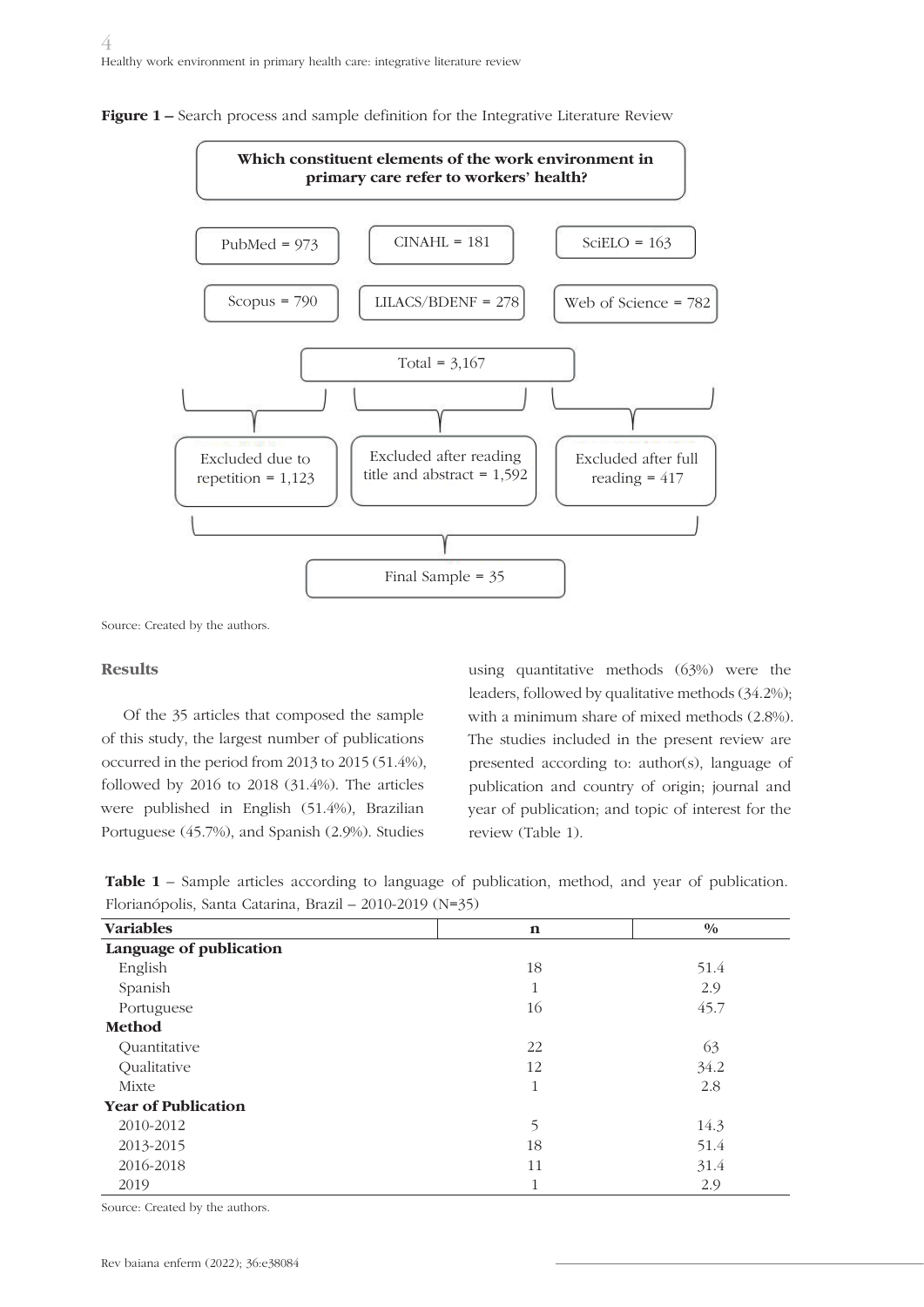

**Figure 1** – Search process and sample definition for the Integrative Literature Review

Source: Created by the authors.

### **Results**

Of the 35 articles that composed the sample of this study, the largest number of publications occurred in the period from 2013 to 2015 (51.4%), followed by 2016 to 2018 (31.4%). The articles were published in English (51.4%), Brazilian Portuguese (45.7%), and Spanish (2.9%). Studies

using quantitative methods (63%) were the leaders, followed by qualitative methods (34.2%); with a minimum share of mixed methods (2.8%). The studies included in the present review are presented according to: author(s), language of publication and country of origin; journal and year of publication; and topic of interest for the review (Table 1).

|                                                          |  |  |  | <b>Table 1</b> – Sample articles according to language of publication, method, and year of publication. |  |  |  |
|----------------------------------------------------------|--|--|--|---------------------------------------------------------------------------------------------------------|--|--|--|
| Florianópolis, Santa Catarina, Brazil – 2010-2019 (N=35) |  |  |  |                                                                                                         |  |  |  |

| <b>Variables</b>           | $\mathbf n$  | $\frac{0}{0}$ |
|----------------------------|--------------|---------------|
| Language of publication    |              |               |
| English                    | 18           | 51.4          |
| Spanish                    | 1            | 2.9           |
| Portuguese                 | 16           | 45.7          |
| Method                     |              |               |
| Quantitative               | 22           | 63            |
| Qualitative                | 12           | 34.2          |
| Mixte                      | 1            | 2.8           |
| <b>Year of Publication</b> |              |               |
| 2010-2012                  | 5            | 14.3          |
| 2013-2015                  | 18           | 51.4          |
| 2016-2018                  | 11           | 31.4          |
| 2019                       | $\mathbf{1}$ | 2.9           |

Source: Created by the authors.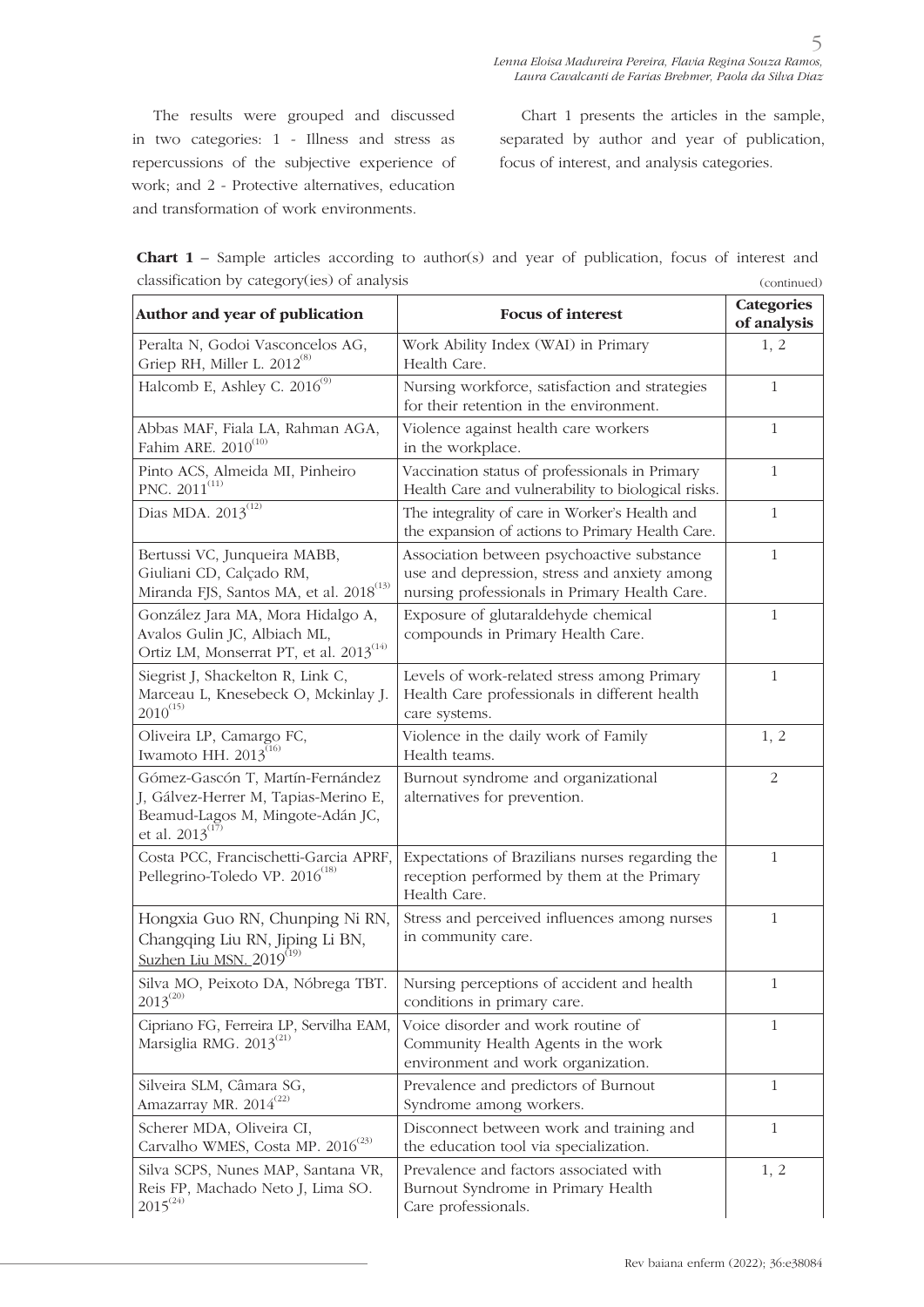The results were grouped and discussed in two categories: 1 - Illness and stress as repercussions of the subjective experience of work; and 2 - Protective alternatives, education and transformation of work environments.

Chart 1 presents the articles in the sample, separated by author and year of publication, focus of interest, and analysis categories.

| <b>Chart 1</b> – Sample articles according to author(s) and year of publication, focus of interest and |  |  |  |             |  |
|--------------------------------------------------------------------------------------------------------|--|--|--|-------------|--|
| classification by category(ies) of analysis                                                            |  |  |  | (continued) |  |

| Author and year of publication                                                                                                       | <b>Focus of interest</b>                                                                                                                    | <b>Categories</b><br>of analysis |
|--------------------------------------------------------------------------------------------------------------------------------------|---------------------------------------------------------------------------------------------------------------------------------------------|----------------------------------|
| Peralta N, Godoi Vasconcelos AG,<br>Griep RH, Miller L. 2012 <sup>(8)</sup>                                                          | Work Ability Index (WAI) in Primary<br>Health Care.                                                                                         | 1, 2                             |
| Halcomb E, Ashley C. 2016 <sup>(9)</sup>                                                                                             | Nursing workforce, satisfaction and strategies<br>for their retention in the environment.                                                   | $\mathbf{1}$                     |
| Abbas MAF, Fiala LA, Rahman AGA,<br>Fahim ARE. 2010 <sup>(10)</sup>                                                                  | Violence against health care workers<br>in the workplace.                                                                                   | $\mathbf{1}$                     |
| Pinto ACS, Almeida MI, Pinheiro<br>PNC. 2011 <sup>(11)</sup>                                                                         | Vaccination status of professionals in Primary<br>Health Care and vulnerability to biological risks.                                        | $\mathbf{1}$                     |
| Dias MDA. 2013 <sup>(12)</sup>                                                                                                       | The integrality of care in Worker's Health and<br>the expansion of actions to Primary Health Care.                                          | $\mathbf{1}$                     |
| Bertussi VC, Junqueira MABB,<br>Giuliani CD, Calçado RM,<br>Miranda FJS, Santos MA, et al. 2018 <sup>(13)</sup>                      | Association between psychoactive substance<br>use and depression, stress and anxiety among<br>nursing professionals in Primary Health Care. | $\mathbf{1}$                     |
| González Jara MA, Mora Hidalgo A,<br>Avalos Gulin JC, Albiach ML,<br>Ortiz LM, Monserrat PT, et al. 2013 <sup>(14)</sup>             | Exposure of glutaraldehyde chemical<br>compounds in Primary Health Care.                                                                    | $\mathbf{1}$                     |
| Siegrist J, Shackelton R, Link C,<br>Marceau L, Knesebeck O, Mckinlay J.<br>$2010^{(15)}$                                            | Levels of work-related stress among Primary<br>Health Care professionals in different health<br>care systems.                               | $\mathbf{1}$                     |
| Oliveira LP, Camargo FC,<br>Iwamoto HH. $2013^{(16)}$                                                                                | Violence in the daily work of Family<br>Health teams.                                                                                       | 1, 2                             |
| Gómez-Gascón T, Martín-Fernández<br>J, Gálvez-Herrer M, Tapias-Merino E,<br>Beamud-Lagos M, Mingote-Adán JC,<br>et al. $2013^{(17)}$ | Burnout syndrome and organizational<br>alternatives for prevention.                                                                         | $\overline{2}$                   |
| Costa PCC, Francischetti-Garcia APRF,<br>Pellegrino-Toledo VP. 2016 <sup>(18)</sup>                                                  | Expectations of Brazilians nurses regarding the<br>reception performed by them at the Primary<br>Health Care.                               | 1                                |
| Hongxia Guo RN, Chunping Ni RN,<br>Changqing Liu RN, Jiping Li BN,<br>Suzhen Liu MSN. 2019 <sup>(19)</sup>                           | Stress and perceived influences among nurses<br>in community care.                                                                          | $\mathbf{1}$                     |
| $2013^{\scriptscriptstyle (20)}$                                                                                                     | Silva MO, Peixoto DA, Nóbrega TBT.   Nursing perceptions of accident and health<br>conditions in primary care.                              | $\mathbf{1}$                     |
| Cipriano FG, Ferreira LP, Servilha EAM,<br>Marsiglia RMG. 2013 <sup>(21)</sup>                                                       | Voice disorder and work routine of<br>Community Health Agents in the work<br>environment and work organization.                             | $\mathbf{1}$                     |
| Silveira SLM, Câmara SG,<br>Amazarray MR. 2014 <sup>(22)</sup>                                                                       | Prevalence and predictors of Burnout<br>Syndrome among workers.                                                                             | $\mathbf{1}$                     |
| Scherer MDA, Oliveira CI,<br>Carvalho WMES, Costa MP. 2016 <sup>(23)</sup>                                                           | Disconnect between work and training and<br>the education tool via specialization.                                                          | $\mathbf{1}$                     |
| Silva SCPS, Nunes MAP, Santana VR,<br>Reis FP, Machado Neto J, Lima SO.<br>$2015^{(24)}$                                             | Prevalence and factors associated with<br>Burnout Syndrome in Primary Health<br>Care professionals.                                         | 1, 2                             |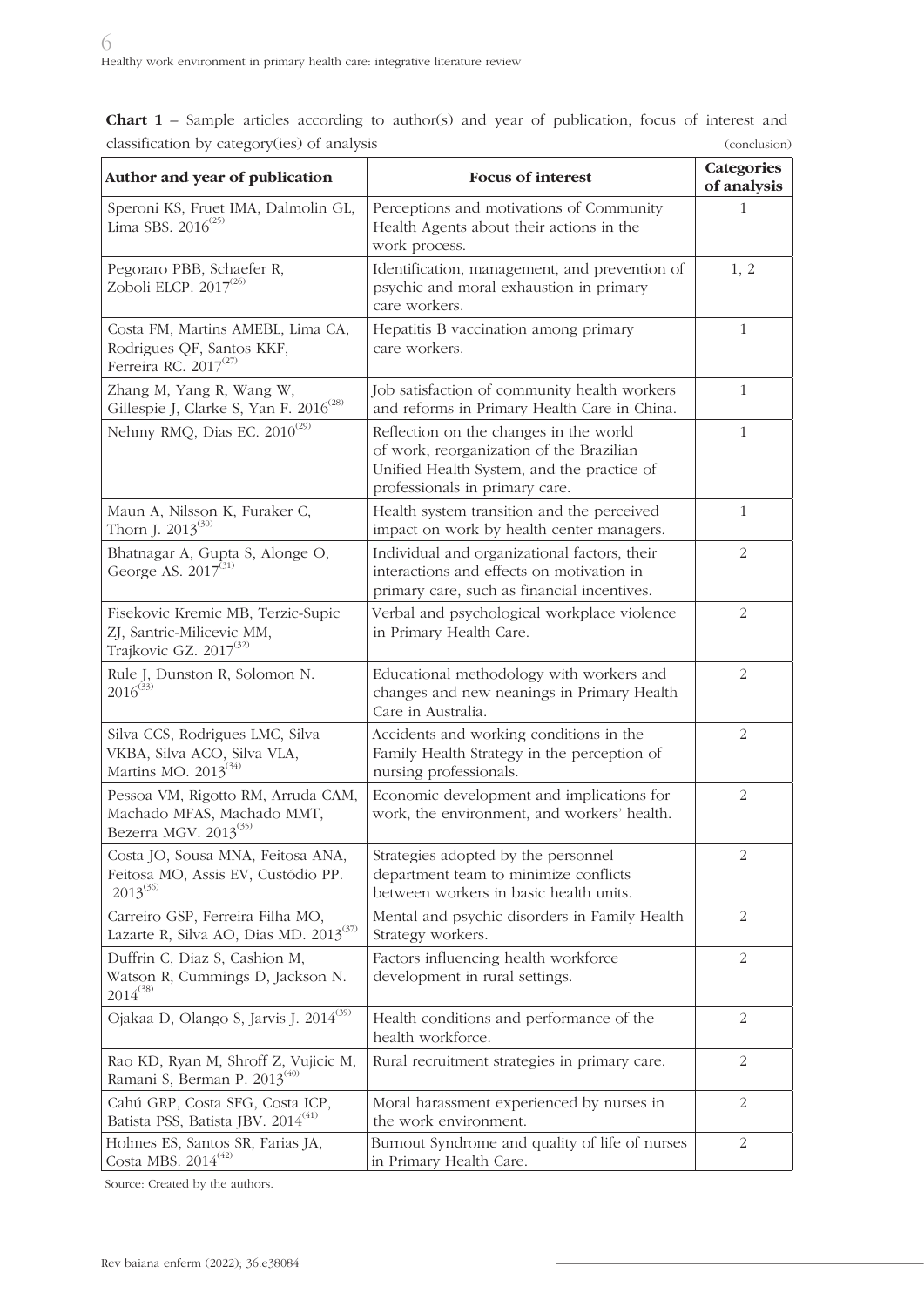| classification by category (ies) or analysis                                                   |                                                                                                                                                                    | <i>(COLICIUSIOII)</i>            |
|------------------------------------------------------------------------------------------------|--------------------------------------------------------------------------------------------------------------------------------------------------------------------|----------------------------------|
| Author and year of publication                                                                 | <b>Focus of interest</b>                                                                                                                                           | <b>Categories</b><br>of analysis |
| Speroni KS, Fruet IMA, Dalmolin GL,<br>Lima SBS. $2016^{(25)}$                                 | Perceptions and motivations of Community<br>Health Agents about their actions in the<br>work process.                                                              | 1                                |
| Pegoraro PBB, Schaefer R,<br>Zoboli ELCP. $2017^{(26)}$                                        | Identification, management, and prevention of<br>psychic and moral exhaustion in primary<br>care workers.                                                          | 1, 2                             |
| Costa FM, Martins AMEBL, Lima CA,<br>Rodrigues QF, Santos KKF,<br>Ferreira RC. $2017^{(27)}$   | Hepatitis B vaccination among primary<br>care workers.                                                                                                             | $\mathbf{1}$                     |
| Zhang M, Yang R, Wang W,<br>Gillespie J, Clarke S, Yan F. 2016 <sup>(28)</sup>                 | Job satisfaction of community health workers<br>and reforms in Primary Health Care in China.                                                                       | $\mathbf{1}$                     |
| Nehmy RMQ, Dias EC. 2010 <sup>(29)</sup>                                                       | Reflection on the changes in the world<br>of work, reorganization of the Brazilian<br>Unified Health System, and the practice of<br>professionals in primary care. | $\mathbf{1}$                     |
| Maun A, Nilsson K, Furaker C,<br>Thorn J. $2013^{(30)}$                                        | Health system transition and the perceived<br>impact on work by health center managers.                                                                            | $\mathbf{1}$                     |
| Bhatnagar A, Gupta S, Alonge O,<br>George AS. $2017^{(31)}$                                    | Individual and organizational factors, their<br>interactions and effects on motivation in<br>primary care, such as financial incentives.                           | 2                                |
| Fisekovic Kremic MB, Terzic-Supic<br>ZJ, Santric-Milicevic MM,<br>Trajkovic GZ. $2017^{(32)}$  | Verbal and psychological workplace violence<br>in Primary Health Care.                                                                                             | 2                                |
| Rule J, Dunston R, Solomon N.<br>$2016^{(33)}$                                                 | Educational methodology with workers and<br>changes and new neanings in Primary Health<br>Care in Australia.                                                       | 2                                |
| Silva CCS, Rodrigues LMC, Silva<br>VKBA, Silva ACO, Silva VLA,<br>Martins MO. $2013^{(34)}$    | Accidents and working conditions in the<br>Family Health Strategy in the perception of<br>nursing professionals.                                                   | 2                                |
| Pessoa VM, Rigotto RM, Arruda CAM,<br>Machado MFAS, Machado MMT,<br>Bezerra MGV. $2013^{(35)}$ | Economic development and implications for<br>work, the environment, and workers' health.                                                                           | 2                                |
| Costa JO, Sousa MNA, Feitosa ANA,<br>Feitosa MO, Assis EV, Custódio PP.<br>$2013^{(36)}$       | Strategies adopted by the personnel<br>department team to minimize conflicts<br>between workers in basic health units.                                             | 2                                |
| Carreiro GSP, Ferreira Filha MO,<br>Lazarte R, Silva AO, Dias MD. 2013 <sup>(37)</sup>         | Mental and psychic disorders in Family Health<br>Strategy workers.                                                                                                 | 2                                |
| Duffrin C, Diaz S, Cashion M,<br>Watson R, Cummings D, Jackson N.<br>$2014^{(38)}$             | Factors influencing health workforce<br>development in rural settings.                                                                                             | 2                                |
| Ojakaa D, Olango S, Jarvis J. 2014 <sup>(39)</sup>                                             | Health conditions and performance of the<br>health workforce.                                                                                                      | 2                                |
| Rao KD, Ryan M, Shroff Z, Vujicic M,<br>Ramani S, Berman P. $2013^{(40)}$                      | Rural recruitment strategies in primary care.                                                                                                                      | 2                                |
| Cahú GRP, Costa SFG, Costa ICP,<br>Batista PSS, Batista JBV. 2014(41)                          | Moral harassment experienced by nurses in<br>the work environment.                                                                                                 | 2                                |
| Holmes ES, Santos SR, Farias JA,<br>Costa MBS. $2014^{(42)}$                                   | Burnout Syndrome and quality of life of nurses<br>in Primary Health Care.                                                                                          | 2                                |

**Chart 1** – Sample articles according to author(s) and year of publication, focus of interest and classification by category(ies) of analysis (conclusion)

Source: Created by the authors.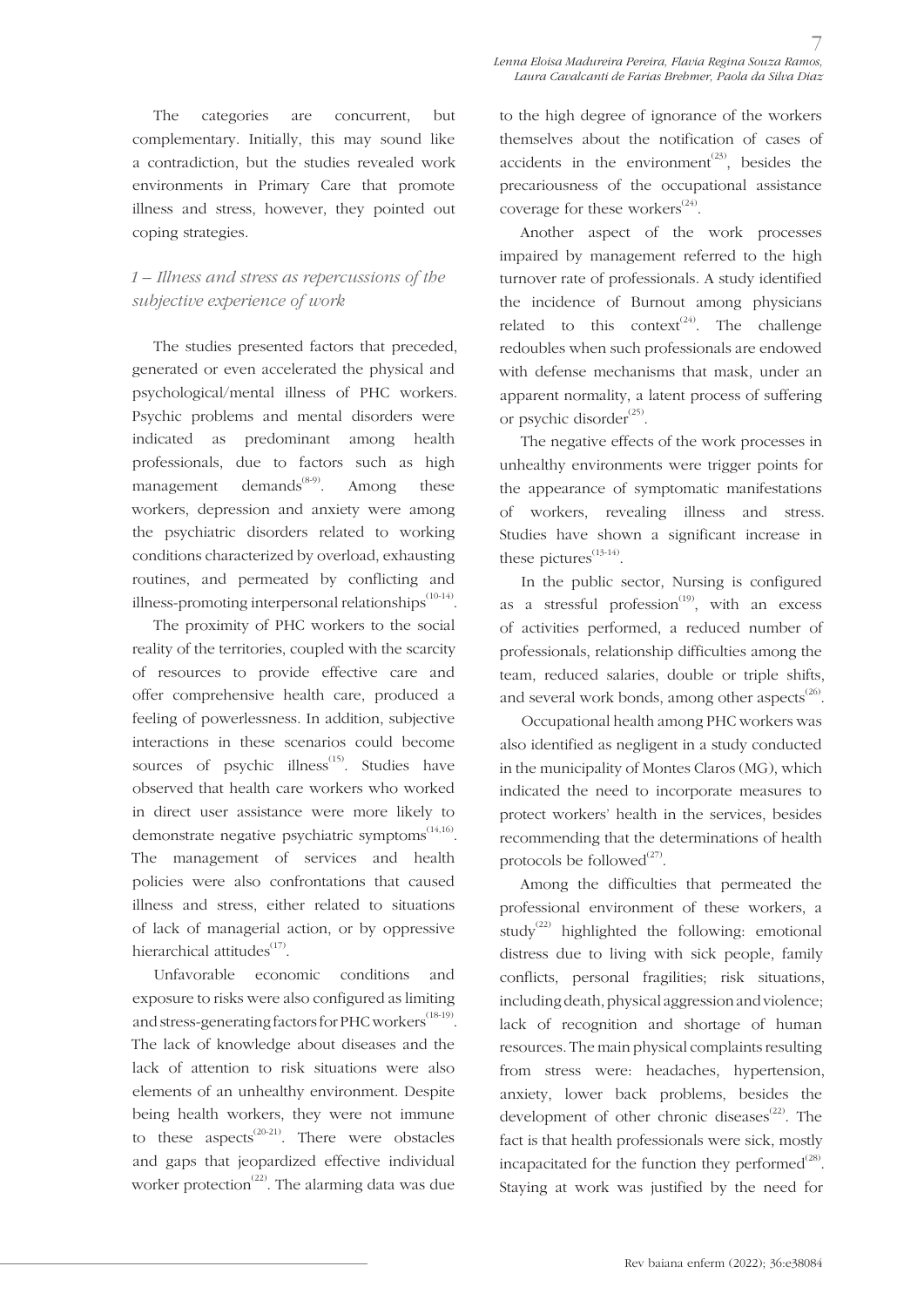The categories are concurrent, but complementary. Initially, this may sound like a contradiction, but the studies revealed work environments in Primary Care that promote illness and stress, however, they pointed out coping strategies.

## *1 – Illness and stress as repercussions of the subjective experience of work*

The studies presented factors that preceded, generated or even accelerated the physical and psychological/mental illness of PHC workers. Psychic problems and mental disorders were indicated as predominant among health professionals, due to factors such as high management demands<sup> $(8-9)$ </sup>. Among these workers, depression and anxiety were among the psychiatric disorders related to working conditions characterized by overload, exhausting routines, and permeated by conflicting and illness-promoting interpersonal relationships $^{(10-14)}$ .

The proximity of PHC workers to the social reality of the territories, coupled with the scarcity of resources to provide effective care and offer comprehensive health care, produced a feeling of powerlessness. In addition, subjective interactions in these scenarios could become sources of psychic illness<sup>(15)</sup>. Studies have observed that health care workers who worked in direct user assistance were more likely to demonstrate negative psychiatric symptoms $^{(14,16)}$ . The management of services and health policies were also confrontations that caused illness and stress, either related to situations of lack of managerial action, or by oppressive hierarchical attitudes $^{(17)}$ .

Unfavorable economic conditions and exposure to risks were also configured as limiting and stress-generating factors for PHC workers<sup>(18-19)</sup>. The lack of knowledge about diseases and the lack of attention to risk situations were also elements of an unhealthy environment. Despite being health workers, they were not immune to these aspects<sup>(20-21)</sup>. There were obstacles and gaps that jeopardized effective individual worker protection<sup> $(22)$ </sup>. The alarming data was due to the high degree of ignorance of the workers themselves about the notification of cases of accidents in the environment<sup> $(23)$ </sup>, besides the precariousness of the occupational assistance coverage for these workers<sup> $(24)$ </sup>.

Another aspect of the work processes impaired by management referred to the high turnover rate of professionals. A study identified the incidence of Burnout among physicians related to this context<sup>(24)</sup>. The challenge redoubles when such professionals are endowed with defense mechanisms that mask, under an apparent normality, a latent process of suffering or psychic disorder $^{(25)}$ .

The negative effects of the work processes in unhealthy environments were trigger points for the appearance of symptomatic manifestations of workers, revealing illness and stress. Studies have shown a significant increase in these pictures $^{(13-14)}$ .

In the public sector, Nursing is configured as a stressful profession<sup> $(19)$ </sup>, with an excess of activities performed, a reduced number of professionals, relationship difficulties among the team, reduced salaries, double or triple shifts, and several work bonds, among other aspects<sup>(26)</sup>.

Occupational health among PHC workers was also identified as negligent in a study conducted in the municipality of Montes Claros (MG), which indicated the need to incorporate measures to protect workers' health in the services, besides recommending that the determinations of health protocols be followed<sup>(27)</sup>.

Among the difficulties that permeated the professional environment of these workers, a study<sup>(22)</sup> highlighted the following: emotional distress due to living with sick people, family conflicts, personal fragilities; risk situations, including death, physical aggression and violence; lack of recognition and shortage of human resources. The main physical complaints resulting from stress were: headaches, hypertension, anxiety, lower back problems, besides the development of other chronic diseases $^{(22)}$ . The fact is that health professionals were sick, mostly incapacitated for the function they performed $^{(28)}$ . Staying at work was justified by the need for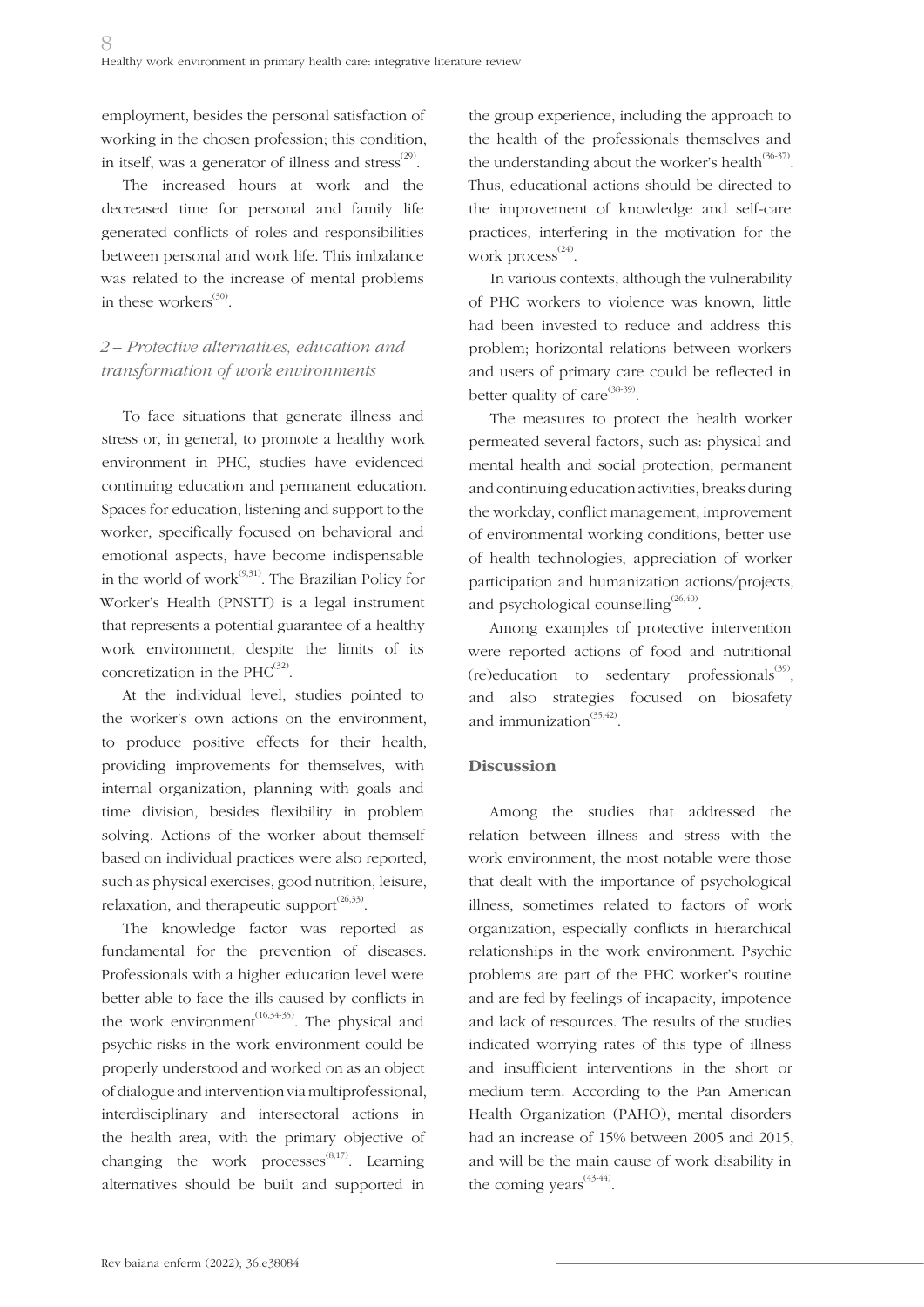employment, besides the personal satisfaction of working in the chosen profession; this condition, in itself, was a generator of illness and stress<sup> $(29)$ </sup>.

The increased hours at work and the decreased time for personal and family life generated conflicts of roles and responsibilities between personal and work life. This imbalance was related to the increase of mental problems in these workers $^{(30)}$ .

## *2 – Protective alternatives, education and transformation of work environments*

To face situations that generate illness and stress or, in general, to promote a healthy work environment in PHC, studies have evidenced continuing education and permanent education. Spaces for education, listening and support to the worker, specifically focused on behavioral and emotional aspects, have become indispensable in the world of work $^{(9,31)}$ . The Brazilian Policy for Worker's Health (PNSTT) is a legal instrument that represents a potential guarantee of a healthy work environment, despite the limits of its concretization in the  $PHC^{(32)}$ .

At the individual level, studies pointed to the worker's own actions on the environment, to produce positive effects for their health, providing improvements for themselves, with internal organization, planning with goals and time division, besides flexibility in problem solving. Actions of the worker about themself based on individual practices were also reported, such as physical exercises, good nutrition, leisure, relaxation, and therapeutic support $^{(26,33)}$ .

The knowledge factor was reported as fundamental for the prevention of diseases. Professionals with a higher education level were better able to face the ills caused by conflicts in the work environment<sup> $(16,34-35)$ </sup>. The physical and psychic risks in the work environment could be properly understood and worked on as an object of dialogue and intervention via multiprofessional, interdisciplinary and intersectoral actions in the health area, with the primary objective of changing the work processes $^{(8,17)}$ . Learning alternatives should be built and supported in

the group experience, including the approach to the health of the professionals themselves and the understanding about the worker's health<sup>(36-37)</sup>. Thus, educational actions should be directed to the improvement of knowledge and self-care practices, interfering in the motivation for the work process $^{(24)}$ .

In various contexts, although the vulnerability of PHC workers to violence was known, little had been invested to reduce and address this problem; horizontal relations between workers and users of primary care could be reflected in better quality of care  $(38-39)$ .

The measures to protect the health worker permeated several factors, such as: physical and mental health and social protection, permanent and continuing education activities, breaks during the workday, conflict management, improvement of environmental working conditions, better use of health technologies, appreciation of worker participation and humanization actions/projects, and psychological counselling<sup> $(26,40)$ </sup>.

Among examples of protective intervention were reported actions of food and nutritional (re)education to sedentary professionals<sup>(39)</sup>, and also strategies focused on biosafety and immunization<sup>(35,42)</sup>.

### **Discussion**

Among the studies that addressed the relation between illness and stress with the work environment, the most notable were those that dealt with the importance of psychological illness, sometimes related to factors of work organization, especially conflicts in hierarchical relationships in the work environment. Psychic problems are part of the PHC worker's routine and are fed by feelings of incapacity, impotence and lack of resources. The results of the studies indicated worrying rates of this type of illness and insufficient interventions in the short or medium term. According to the Pan American Health Organization (PAHO), mental disorders had an increase of 15% between 2005 and 2015, and will be the main cause of work disability in the coming years $^{(43-44)}$ .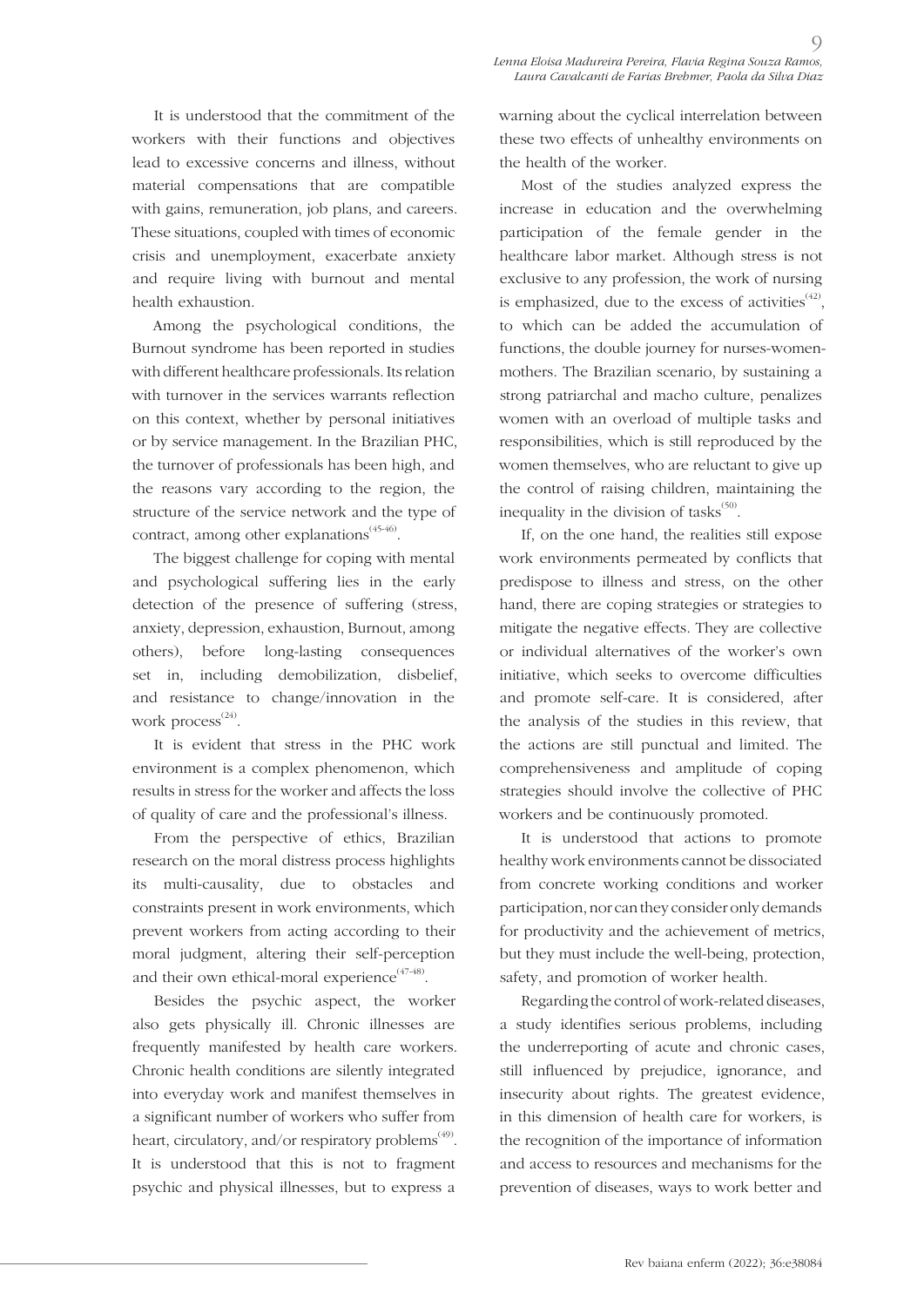$\circ$ 

It is understood that the commitment of the workers with their functions and objectives lead to excessive concerns and illness, without material compensations that are compatible with gains, remuneration, job plans, and careers. These situations, coupled with times of economic crisis and unemployment, exacerbate anxiety and require living with burnout and mental health exhaustion.

Among the psychological conditions, the Burnout syndrome has been reported in studies with different healthcare professionals. Its relation with turnover in the services warrants reflection on this context, whether by personal initiatives or by service management. In the Brazilian PHC, the turnover of professionals has been high, and the reasons vary according to the region, the structure of the service network and the type of contract, among other explanations<sup>(45-46)</sup>.

The biggest challenge for coping with mental and psychological suffering lies in the early detection of the presence of suffering (stress, anxiety, depression, exhaustion, Burnout, among others), before long-lasting consequences set in, including demobilization, disbelief, and resistance to change/innovation in the work process<sup>(24)</sup>.

It is evident that stress in the PHC work environment is a complex phenomenon, which results in stress for the worker and affects the loss of quality of care and the professional's illness.

From the perspective of ethics, Brazilian research on the moral distress process highlights its multi-causality, due to obstacles and constraints present in work environments, which prevent workers from acting according to their moral judgment, altering their self-perception and their own ethical-moral experience<sup> $(47-48)$ </sup>.

Besides the psychic aspect, the worker also gets physically ill. Chronic illnesses are frequently manifested by health care workers. Chronic health conditions are silently integrated into everyday work and manifest themselves in a significant number of workers who suffer from heart, circulatory, and/or respiratory problems<sup> $(49)$ </sup>. It is understood that this is not to fragment psychic and physical illnesses, but to express a warning about the cyclical interrelation between these two effects of unhealthy environments on the health of the worker.

Most of the studies analyzed express the increase in education and the overwhelming participation of the female gender in the healthcare labor market. Although stress is not exclusive to any profession, the work of nursing is emphasized, due to the excess of activities $^{(42)}$ , to which can be added the accumulation of functions, the double journey for nurses-womenmothers. The Brazilian scenario, by sustaining a strong patriarchal and macho culture, penalizes women with an overload of multiple tasks and responsibilities, which is still reproduced by the women themselves, who are reluctant to give up the control of raising children, maintaining the inequality in the division of tasks $^{(50)}$ .

If, on the one hand, the realities still expose work environments permeated by conflicts that predispose to illness and stress, on the other hand, there are coping strategies or strategies to mitigate the negative effects. They are collective or individual alternatives of the worker's own initiative, which seeks to overcome difficulties and promote self-care. It is considered, after the analysis of the studies in this review, that the actions are still punctual and limited. The comprehensiveness and amplitude of coping strategies should involve the collective of PHC workers and be continuously promoted.

It is understood that actions to promote healthy work environments cannot be dissociated from concrete working conditions and worker participation, nor can they consider only demands for productivity and the achievement of metrics, but they must include the well-being, protection, safety, and promotion of worker health.

Regarding the control of work-related diseases, a study identifies serious problems, including the underreporting of acute and chronic cases, still influenced by prejudice, ignorance, and insecurity about rights. The greatest evidence, in this dimension of health care for workers, is the recognition of the importance of information and access to resources and mechanisms for the prevention of diseases, ways to work better and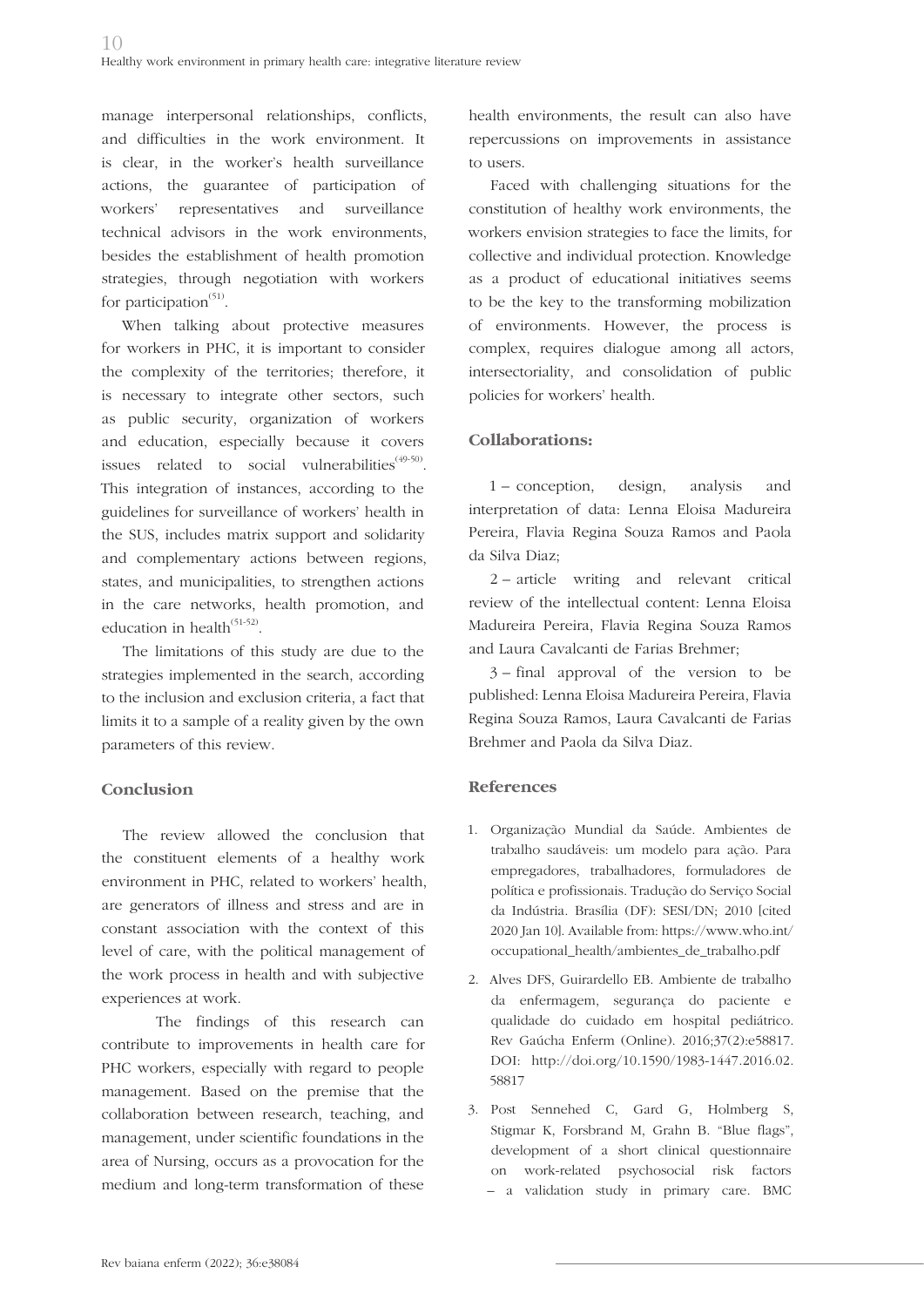manage interpersonal relationships, conflicts, and difficulties in the work environment. It is clear, in the worker's health surveillance actions, the guarantee of participation of workers' representatives and surveillance technical advisors in the work environments, besides the establishment of health promotion strategies, through negotiation with workers for participation $(51)$ .

When talking about protective measures for workers in PHC, it is important to consider the complexity of the territories; therefore, it is necessary to integrate other sectors, such as public security, organization of workers and education, especially because it covers issues related to social vulnerabilities $(49-50)$ . This integration of instances, according to the guidelines for surveillance of workers' health in the SUS, includes matrix support and solidarity and complementary actions between regions, states, and municipalities, to strengthen actions in the care networks, health promotion, and education in health $^{(51-52)}$ .

The limitations of this study are due to the strategies implemented in the search, according to the inclusion and exclusion criteria, a fact that limits it to a sample of a reality given by the own parameters of this review.

### **Conclusion**

The review allowed the conclusion that the constituent elements of a healthy work environment in PHC, related to workers' health, are generators of illness and stress and are in constant association with the context of this level of care, with the political management of the work process in health and with subjective experiences at work.

The findings of this research can contribute to improvements in health care for PHC workers, especially with regard to people management. Based on the premise that the collaboration between research, teaching, and management, under scientific foundations in the area of Nursing, occurs as a provocation for the medium and long-term transformation of these

health environments, the result can also have repercussions on improvements in assistance to users.

Faced with challenging situations for the constitution of healthy work environments, the workers envision strategies to face the limits, for collective and individual protection. Knowledge as a product of educational initiatives seems to be the key to the transforming mobilization of environments. However, the process is complex, requires dialogue among all actors, intersectoriality, and consolidation of public policies for workers' health.

## **Collaborations:**

1 – conception, design, analysis and interpretation of data: Lenna Eloisa Madureira Pereira, Flavia Regina Souza Ramos and Paola da Silva Diaz;

2 – article writing and relevant critical review of the intellectual content: Lenna Eloisa Madureira Pereira, Flavia Regina Souza Ramos and Laura Cavalcanti de Farias Brehmer;

3 – final approval of the version to be published: Lenna Eloisa Madureira Pereira, Flavia Regina Souza Ramos, Laura Cavalcanti de Farias Brehmer and Paola da Silva Diaz.

## **References**

- 1. Organização Mundial da Saúde. Ambientes de trabalho saudáveis: um modelo para ação. Para empregadores, trabalhadores, formuladores de política e profissionais. Tradução do Serviço Social da Indústria. Brasília (DF): SESI/DN; 2010 [cited 2020 Jan 10]. Available from: https://www.who.int/ occupational\_health/ambientes\_de\_trabalho.pdf
- 2. Alves DFS, Guirardello EB. Ambiente de trabalho da enfermagem, segurança do paciente e qualidade do cuidado em hospital pediátrico. Rev Gaúcha Enferm (Online). 2016;37(2):e58817. DOI: http://doi.org/10.1590/1983-1447.2016.02. 58817
- 3. Post Sennehed C, Gard G, Holmberg S, Stigmar K, Forsbrand M, Grahn B. "Blue flags", development of a short clinical questionnaire on work-related psychosocial risk factors – a validation study in primary care. BMC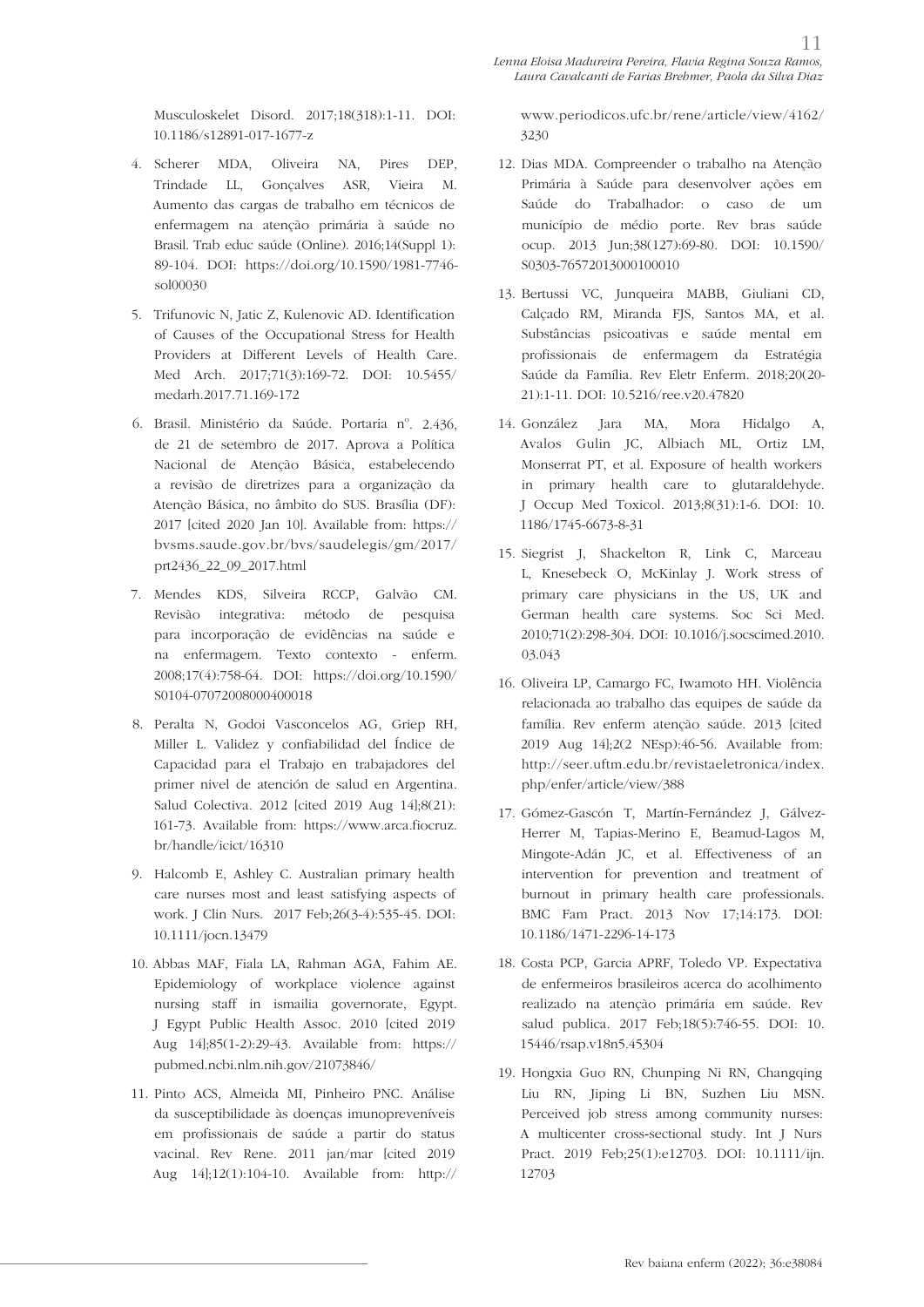Musculoskelet Disord. 2017;18(318):1-11. DOI: 10.1186/s12891-017-1677-z

- 4. Scherer MDA, Oliveira NA, Pires DEP, Trindade LL, Gonçalves ASR, Vieira M. Aumento das cargas de trabalho em técnicos de enfermagem na atenção primária à saúde no Brasil. Trab educ saúde (Online). 2016;14(Suppl 1): 89-104. DOI: https://doi.org/10.1590/1981-7746 sol00030
- 5. Trifunovic N, Jatic Z, Kulenovic AD. Identification of Causes of the Occupational Stress for Health Providers at Different Levels of Health Care. Med Arch. 2017;71(3):169-72. DOI: 10.5455/ medarh.2017.71.169-172
- 6. Brasil. Ministério da Saúde. Portaria nº. 2.436, de 21 de setembro de 2017. Aprova a Política Nacional de Atenção Básica, estabelecendo a revisão de diretrizes para a organização da Atenção Básica, no âmbito do SUS. Brasília (DF): 2017 [cited 2020 Jan 10]. Available from: https:// bvsms.saude.gov.br/bvs/saudelegis/gm/2017/ prt2436\_22\_09\_2017.html
- 7. Mendes KDS, Silveira RCCP, Galvão CM. Revisão integrativa: método de pesquisa para incorporação de evidências na saúde e na enfermagem. Texto contexto - enferm. 2008;17(4):758-64. DOI: https://doi.org/10.1590/ S0104-07072008000400018
- 8. Peralta N, Godoi Vasconcelos AG, Griep RH, Miller L. Validez y confiabilidad del Índice de Capacidad para el Trabajo en trabajadores del primer nivel de atención de salud en Argentina. Salud Colectiva. 2012 [cited 2019 Aug 14];8(21): 161-73. Available from: https://www.arca.fiocruz. br/handle/icict/16310
- 9. Halcomb E, Ashley C. Australian primary health care nurses most and least satisfying aspects of work. J Clin Nurs. 2017 Feb;26(3-4):535-45. DOI: 10.1111/jocn.13479
- 10. Abbas MAF, Fiala LA, Rahman AGA, Fahim AE. Epidemiology of workplace violence against nursing staff in ismailia governorate, Egypt. J Egypt Public Health Assoc. 2010 [cited 2019 Aug 14];85(1-2):29-43. Available from: https:// pubmed.ncbi.nlm.nih.gov/21073846/
- 11. Pinto ACS, Almeida MI, Pinheiro PNC. Análise da susceptibilidade às doenças imunopreveníveis em profissionais de saúde a partir do status vacinal. Rev Rene. 2011 jan/mar [cited 2019 Aug 14];12(1):104-10. Available from: http://

www.periodicos.ufc.br/rene/article/view/4162/ 3230

- 12. Dias MDA. Compreender o trabalho na Atenção Primária à Saúde para desenvolver ações em Saúde do Trabalhador: o caso de um município de médio porte. Rev bras saúde ocup. 2013 Jun;38(127):69-80. DOI: 10.1590/ S0303-76572013000100010
- 13. Bertussi VC, Junqueira MABB, Giuliani CD, Calçado RM, Miranda FJS, Santos MA, et al. Substâncias psicoativas e saúde mental em profissionais de enfermagem da Estratégia Saúde da Família. Rev Eletr Enferm. 2018;20(20- 21):1-11. DOI: 10.5216/ree.v20.47820
- 14. González Jara MA, Mora Hidalgo A, Avalos Gulin JC, Albiach ML, Ortiz LM, Monserrat PT, et al. Exposure of health workers in primary health care to glutaraldehyde. J Occup Med Toxicol. 2013;8(31):1-6. DOI: 10. 1186/1745-6673-8-31
- 15. Siegrist J, Shackelton R, Link C, Marceau L, Knesebeck O, McKinlay J. Work stress of primary care physicians in the US, UK and German health care systems. Soc Sci Med. 2010;71(2):298-304. DOI: 10.1016/j.socscimed.2010. 03.043
- 16. Oliveira LP, Camargo FC, Iwamoto HH. Violência relacionada ao trabalho das equipes de saúde da família. Rev enferm atenção saúde. 2013 [cited 2019 Aug 14];2(2 NEsp):46-56. Available from: http://seer.uftm.edu.br/revistaeletronica/index. php/enfer/article/view/388
- 17. Gómez-Gascón T, Martín-Fernández J, Gálvez-Herrer M, Tapias-Merino E, Beamud-Lagos M, Mingote-Adán JC, et al. Effectiveness of an intervention for prevention and treatment of burnout in primary health care professionals. BMC Fam Pract. 2013 Nov 17;14:173. DOI: 10.1186/1471-2296-14-173
- 18. Costa PCP, Garcia APRF, Toledo VP. Expectativa de enfermeiros brasileiros acerca do acolhimento realizado na atenção primária em saúde. Rev salud publica. 2017 Feb;18(5):746-55. DOI: 10. 15446/rsap.v18n5.45304
- 19. Hongxia Guo RN, Chunping Ni RN, Changqing Liu RN, Jiping Li BN, Suzhen Liu MSN. Perceived job stress among community nurses: A multicenter cross-sectional study. Int J Nurs Pract. 2019 Feb;25(1):e12703. DOI: 10.1111/ijn. 12703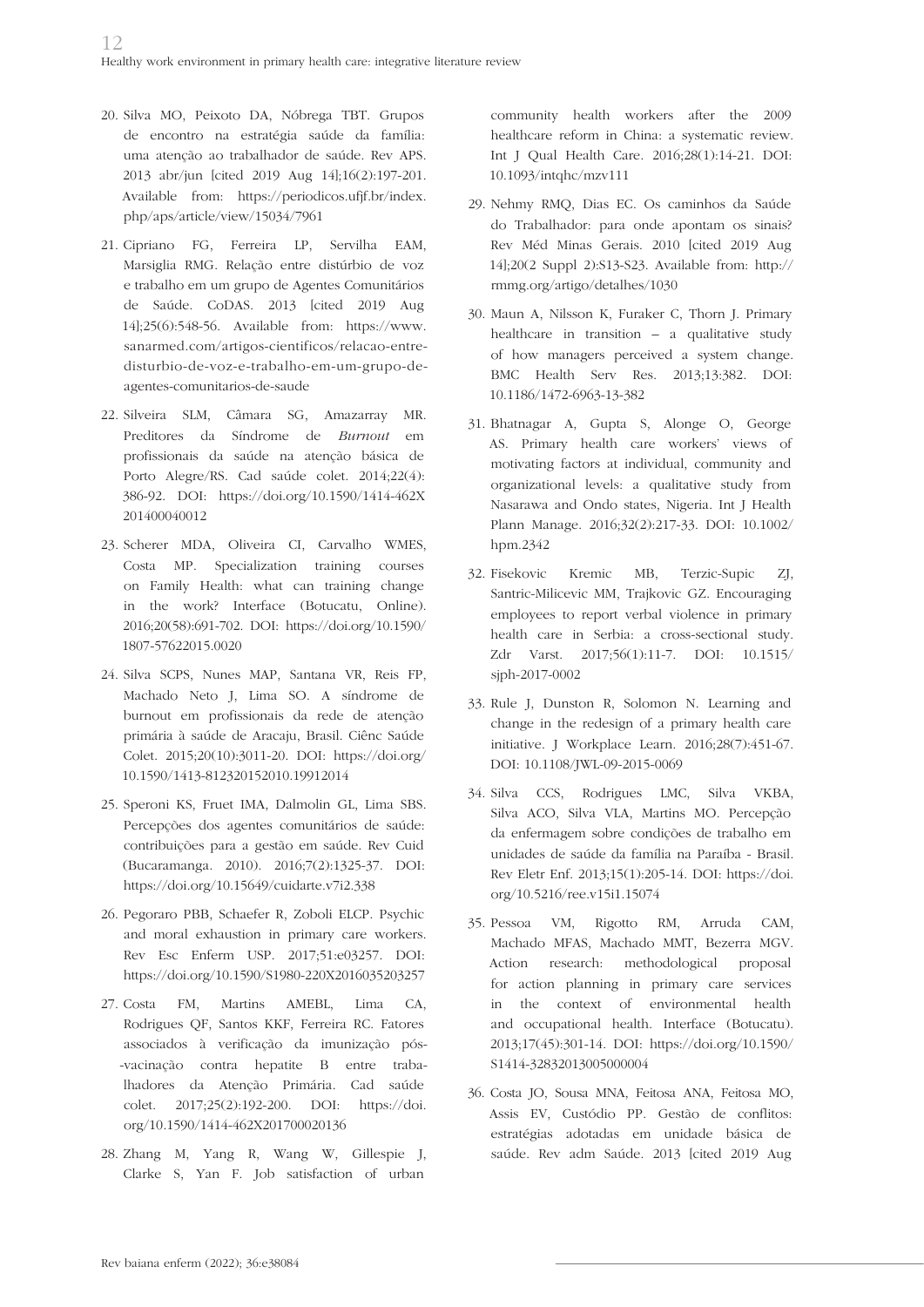- 20. Silva MO, Peixoto DA, Nóbrega TBT. Grupos de encontro na estratégia saúde da família: uma atenção ao trabalhador de saúde. Rev APS. 2013 abr/jun [cited 2019 Aug 14];16(2):197-201. Available from: https://periodicos.ufjf.br/index. php/aps/article/view/15034/7961
- 21. Cipriano FG, Ferreira LP, Servilha EAM, Marsiglia RMG. Relação entre distúrbio de voz e trabalho em um grupo de Agentes Comunitários de Saúde. CoDAS. 2013 [cited 2019 Aug 14];25(6):548-56. Available from: https://www. sanarmed.com/artigos-cientificos/relacao-entredisturbio-de-voz-e-trabalho-em-um-grupo-deagentes-comunitarios-de-saude
- 22. Silveira SLM, Câmara SG, Amazarray MR. Preditores da Síndrome de *Burnout* em profissionais da saúde na atenção básica de Porto Alegre/RS. Cad saúde colet. 2014;22(4): 386-92. DOI: https://doi.org/10.1590/1414-462X 201400040012
- 23. Scherer MDA, Oliveira CI, Carvalho WMES, Costa MP. Specialization training courses on Family Health: what can training change in the work? Interface (Botucatu, Online). 2016;20(58):691-702. DOI: https://doi.org/10.1590/ 1807-57622015.0020
- 24. Silva SCPS, Nunes MAP, Santana VR, Reis FP, Machado Neto J, Lima SO. A síndrome de burnout em profissionais da rede de atenção primária à saúde de Aracaju, Brasil. Ciênc Saúde Colet. 2015;20(10):3011-20. DOI: https://doi.org/ 10.1590/1413-812320152010.19912014
- 25. Speroni KS, Fruet IMA, Dalmolin GL, Lima SBS. Percepções dos agentes comunitários de saúde: contribuições para a gestão em saúde. Rev Cuid (Bucaramanga. 2010). 2016;7(2):1325-37. DOI: https://doi.org/10.15649/cuidarte.v7i2.338
- 26. Pegoraro PBB, Schaefer R, Zoboli ELCP. Psychic and moral exhaustion in primary care workers. Rev Esc Enferm USP. 2017;51:e03257. DOI: https://doi.org/10.1590/S1980-220X2016035203257
- 27. Costa FM, Martins AMEBL, Lima CA, Rodrigues QF, Santos KKF, Ferreira RC. Fatores associados à verificação da imunização pós- -vacinação contra hepatite B entre trabalhadores da Atenção Primária. Cad saúde colet. 2017;25(2):192-200. DOI: https://doi. org/10.1590/1414-462X201700020136
- 28. Zhang M, Yang R, Wang W, Gillespie J, Clarke S, Yan F. Job satisfaction of urban

community health workers after the 2009 healthcare reform in China: a systematic review. Int J Qual Health Care. 2016;28(1):14-21. DOI: 10.1093/intqhc/mzv111

- 29. Nehmy RMQ, Dias EC. Os caminhos da Saúde do Trabalhador: para onde apontam os sinais? Rev Méd Minas Gerais. 2010 [cited 2019 Aug 14];20(2 Suppl 2):S13-S23. Available from: http:// rmmg.org/artigo/detalhes/1030
- 30. Maun A, Nilsson K, Furaker C, Thorn J. Primary healthcare in transition – a qualitative study of how managers perceived a system change. BMC Health Serv Res. 2013;13:382. DOI: 10.1186/1472-6963-13-382
- 31. Bhatnagar A, Gupta S, Alonge O, George AS. Primary health care workers' views of motivating factors at individual, community and organizational levels: a qualitative study from Nasarawa and Ondo states, Nigeria. Int J Health Plann Manage. 2016;32(2):217-33. DOI: 10.1002/ hpm.2342
- 32. Fisekovic Kremic MB, Terzic-Supic ZJ, Santric-Milicevic MM, Trajkovic GZ. Encouraging employees to report verbal violence in primary health care in Serbia: a cross-sectional study. Zdr Varst. 2017;56(1):11-7. DOI: 10.1515/ sjph-2017-0002
- 33. Rule J, Dunston R, Solomon N. Learning and change in the redesign of a primary health care initiative. J Workplace Learn. 2016;28(7):451-67. DOI: 10.1108/JWL-09-2015-0069
- 34. Silva CCS, Rodrigues LMC, Silva VKBA, Silva ACO, Silva VLA, Martins MO. Percepção da enfermagem sobre condições de trabalho em unidades de saúde da família na Paraíba - Brasil. Rev Eletr Enf. 2013;15(1):205-14. DOI: https://doi. org/10.5216/ree.v15i1.15074
- 35. Pessoa VM, Rigotto RM, Arruda CAM, Machado MFAS, Machado MMT, Bezerra MGV. Action research: methodological proposal for action planning in primary care services in the context of environmental health and occupational health. Interface (Botucatu). 2013;17(45):301-14. DOI: https://doi.org/10.1590/ S1414-32832013005000004
- 36. Costa JO, Sousa MNA, Feitosa ANA, Feitosa MO, Assis EV, Custódio PP. Gestão de conflitos: estratégias adotadas em unidade básica de saúde. Rev adm Saúde. 2013 [cited 2019 Aug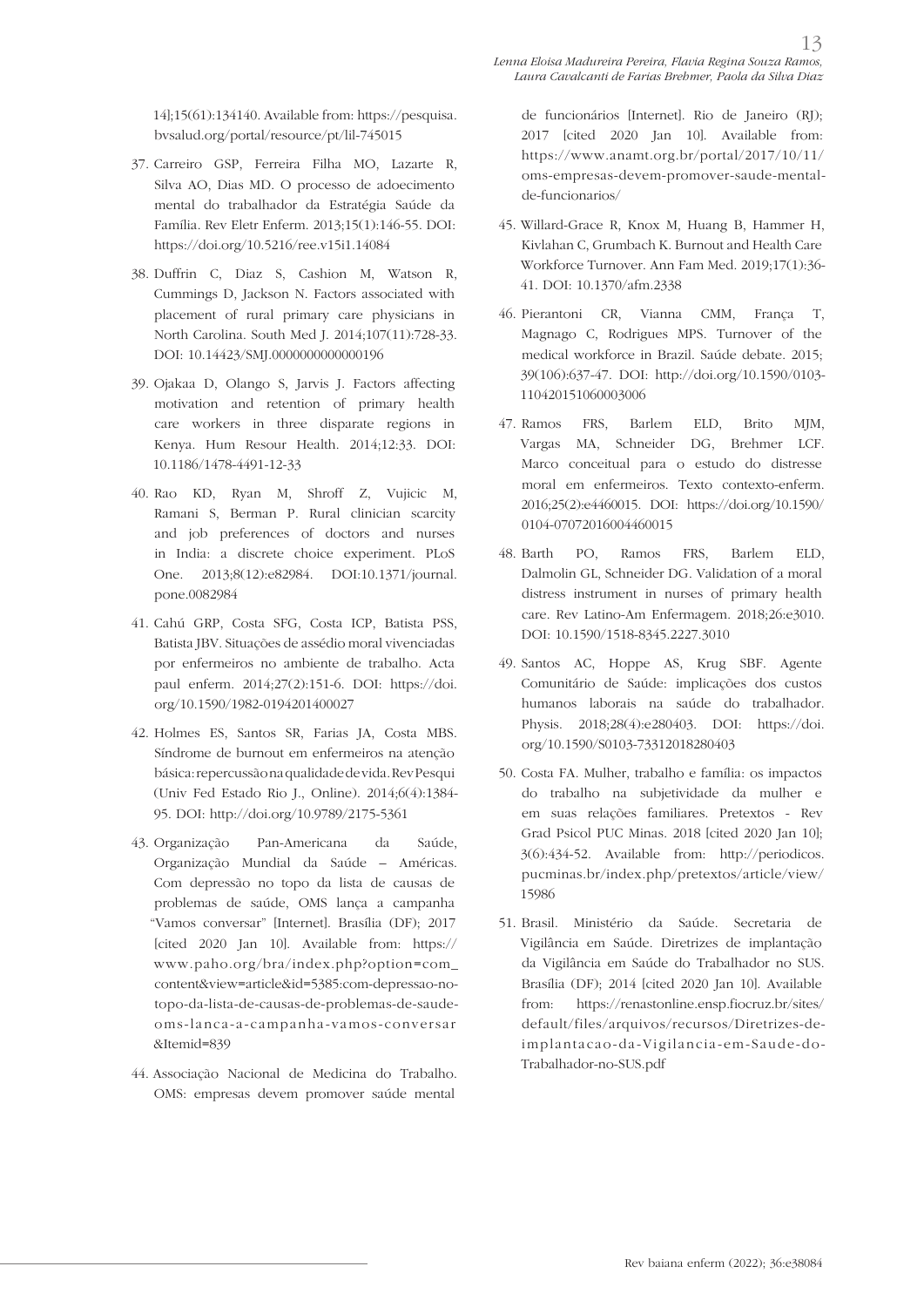14];15(61):134140. Available from: https://pesquisa. bvsalud.org/portal/resource/pt/lil-745015

- 37. Carreiro GSP, Ferreira Filha MO, Lazarte R, Silva AO, Dias MD. O processo de adoecimento mental do trabalhador da Estratégia Saúde da Família. Rev Eletr Enferm. 2013;15(1):146-55. DOI: https://doi.org/10.5216/ree.v15i1.14084
- 38. Duffrin C, Diaz S, Cashion M, Watson R, Cummings D, Jackson N. Factors associated with placement of rural primary care physicians in North Carolina. South Med J. 2014;107(11):728-33. DOI: 10.14423/SMJ.0000000000000196
- 39. Ojakaa D, Olango S, Jarvis J. Factors affecting motivation and retention of primary health care workers in three disparate regions in Kenya. Hum Resour Health. 2014;12:33. DOI: 10.1186/1478-4491-12-33
- 40. Rao KD, Ryan M, Shroff Z, Vujicic M, Ramani S, Berman P. Rural clinician scarcity and job preferences of doctors and nurses in India: a discrete choice experiment. PLoS One. 2013;8(12):e82984. DOI:10.1371/journal. pone.0082984
- 41. Cahú GRP, Costa SFG, Costa ICP, Batista PSS, Batista JBV. Situações de assédio moral vivenciadas por enfermeiros no ambiente de trabalho. Acta paul enferm. 2014;27(2):151-6. DOI: https://doi. org/10.1590/1982-0194201400027
- 42. Holmes ES, Santos SR, Farias JA, Costa MBS. Síndrome de burnout em enfermeiros na atenção básica: repercussão na qualidade de vida. Rev Pesqui (Univ Fed Estado Rio J., Online). 2014;6(4):1384- 95. DOI: http://doi.org/10.9789/2175-5361
- 43. Organização Pan-Americana da Saúde, Organização Mundial da Saúde – Américas. Com depressão no topo da lista de causas de problemas de saúde, OMS lança a campanha "Vamos conversar" [Internet]. Brasília (DF); 2017 [cited 2020 Jan 10]. Available from: https:// www.paho.org/bra/index.php?option=com\_ content&view=article&id=5385:com-depressao-notopo-da-lista-de-causas-de-problemas-de-saudeoms-lanca-a-campanha-vamos-conversar &Itemid=839
- 44. Associação Nacional de Medicina do Trabalho. OMS: empresas devem promover saúde mental

de funcionários [Internet]. Rio de Janeiro (RJ); 2017 [cited 2020 Jan 10]. Available from: https://www.anamt.org.br/portal/2017/10/11/ oms-empresas-devem-promover-saude-mentalde-funcionarios/

- 45. Willard-Grace R, Knox M, Huang B, Hammer H, Kivlahan C, Grumbach K. Burnout and Health Care Workforce Turnover. Ann Fam Med. 2019;17(1):36- 41. DOI: 10.1370/afm.2338
- 46. Pierantoni CR, Vianna CMM, França T, Magnago C, Rodrigues MPS. Turnover of the medical workforce in Brazil. Saúde debate. 2015; 39(106):637-47. DOI: http://doi.org/10.1590/0103- 110420151060003006
- 47. Ramos FRS, Barlem ELD, Brito MJM, Vargas MA, Schneider DG, Brehmer LCF. Marco conceitual para o estudo do distresse moral em enfermeiros. Texto contexto-enferm. 2016;25(2):e4460015. DOI: https://doi.org/10.1590/ 0104-07072016004460015
- 48. Barth PO, Ramos FRS, Barlem ELD, Dalmolin GL, Schneider DG. Validation of a moral distress instrument in nurses of primary health care. Rev Latino-Am Enfermagem. 2018;26:e3010. DOI: 10.1590/1518-8345.2227.3010
- 49. Santos AC, Hoppe AS, Krug SBF. Agente Comunitário de Saúde: implicações dos custos humanos laborais na saúde do trabalhador. Physis. 2018;28(4):e280403. DOI: https://doi. org/10.1590/S0103-73312018280403
- 50. Costa FA. Mulher, trabalho e família: os impactos do trabalho na subjetividade da mulher e em suas relações familiares. Pretextos - Rev Grad Psicol PUC Minas. 2018 [cited 2020 Jan 10]; 3(6):434-52. Available from: http://periodicos. pucminas.br/index.php/pretextos/article/view/ 15986
- 51. Brasil. Ministério da Saúde. Secretaria de Vigilância em Saúde. Diretrizes de implantação da Vigilância em Saúde do Trabalhador no SUS. Brasília (DF); 2014 [cited 2020 Jan 10]. Available from: https://renastonline.ensp.fiocruz.br/sites/ default/files/arquivos/recursos/Diretrizes-deimplantacao-da-Vigilancia-em-Saude-do-Trabalhador-no-SUS.pdf